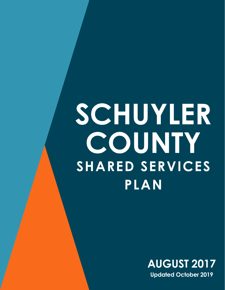# **SCHUYLER COUNTY SHARED SERVICES PLAN**

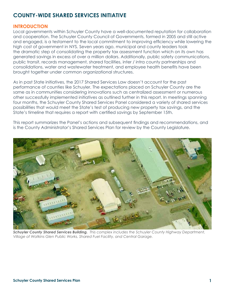# **COUNTY-WIDE SHARED SERVICES INITIATIVE**

### **INTRODUCTION**

Local governments within Schuyler County have a well-documented reputation for collaboration and cooperation. The Schuyler County Council of Governments, formed in 2005 and still active and engaged, is a testament to the local commitment to improving efficiency while lowering the high cost of government in NYS. Seven years ago, municipal and county leaders took the dramatic step of consolidating the property tax assessment function which on its own has generated savings in excess of over a million dollars. Additionally, public safety communications, public transit, records management, shared facilities, inter / intra county partnerships and consolidations, water and wastewater treatment, and employee health benefits have been brought together under common organizational structures.

As in past State initiatives, the 2017 Shared Services Law doesn't account for the past performance of counties like Schuyler. The expectations placed on Schuyler County are the same as in communities considering innovations such as centralized assessment or numerous other successfully implemented initiatives as outlined further in this report. In meetings spanning four months, the Schuyler County Shared Services Panel considered a variety of shared services possibilities that would meet the State's test of producing new property tax savings, and the State's timeline that requires a report with certified savings by September 15th.

This report summarizes the Panel's actions and subsequent findings and recommendations, and is the County Administrator's Shared Services Plan for review by the County Legislature.



*Schuyler County Shared Services Building. This complex includes the Schuyler County Highway Department, Village of Watkins Glen Public Works, Shared Fuel Facility, and Central Garage.*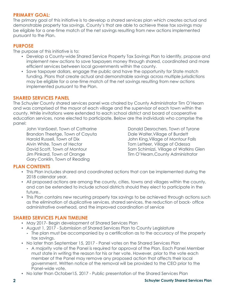## **PRIMARY GOAL:**

The primary goal of this initiative is to develop a shared services plan which creates actual and demonstrable property tax savings. County's that are able to achieve these tax savings may be eligible for a one-time match of the net savings resulting from new actions implemented pursuant to the Plan.

# **PURPOSE**

The purpose of this initiative is to:

- **▪** Develop a County-wide Shared Service Property Tax Savings Plan to identify, propose and implement new actions to save taxpayers money through shared, coordinated and more efficient services between local governments within the county.
- **▪** Save taxpayer dollars, engage the public and have the opportunity for State match funding. Plans that create actual and demonstrable savings across multiple jurisdictions may be eligible for a one-time match of the net savings resulting from new actions implemented pursuant to the Plan.

# **SHARED SERVICES PANEL**

The Schuyler County shared services panel was chaired by County Administrator Tim O'Hearn and was comprised of the mayor of each village and the supervisor of each town within the county. While invitations were extended to each school district and board of cooperative education services, none elected to participate. Below are the individuals who comprise the panel:

John VanSoest, Town of Catharine Brandon Theetge, Town of Cayuta Harold Russell, Town of Dix Alvin White, Town of Hector David Scott, Town of Montour Jim Pinkard, Town of Orange Gary Conklin, Town of Reading

Donald Desrochers, Town of Tyrone Dale Walter,Village of Burdett John King,Village of Montour Falls Tom Letteer, Village of Odessa Sam Schimizzi, Village of Watkins Glen Tim O'Hearn,County Administrator

# **PLAN CONTENTS**

- **▪** This Plan includes shared and coordinated actions that can be implemented during the 2018 calendar year.
- **▪** All proposed actions are among the county, cities, towns and villages within the county, and can be extended to include school districts should they elect to participate in the future..
- **▪** This Plan contains new recurring property tax savings to be achieved through actions such as the elimination of duplicative services, shared services, the reduction of back- office administrative overhead, and the improved coordination of service

## **SHARED SERVICES PLAN TIMELINE**

- **▪** May 2017- Begin development of Shared Services Plan
- **▪** August 1, 2017 Submission of Shared Services Plan to County Legislature
	- **-** The plan must be accompanied by a certification as to the accuracy of the property tax savings.
- **▪** No later than September 15, 2017 Panel votes on the Shared Services Plan
	- **-** A majority vote of the Panel is required for approval of the Plan. Each Panel Member must state in writing the reason for his or her vote. However, prior to the vote each member of the Panel may remove any proposed action that affects their local government. Written notice of the removal will be provided to the CEO prior to the Panel-wide vote.
- **▪** No later than October15, 2017 Public presentation of the Shared Services Plan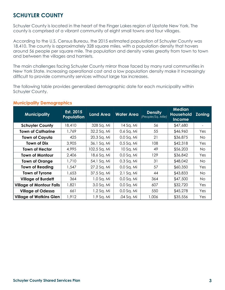# **SCHUYLER COUNTY**

Schuyler County is located in the heart of the Finger Lakes region of Upstate New York. The county is comprised of a vibrant community of eight small towns and four villages.

According to the U.S. Census Bureau, the 2015 estimated population of Schuyler County was 18,410. The county is approximately 328 square miles, with a population density that hovers around 56 people per square mile. The population and density varies greatly from town to town and between the villages and hamlets.

The main challenges facing Schuyler County mirror those faced by many rural communities in New York State. Increasing operational cost and a low population density make it increasingly difficult to provide community services without large tax increases.

The following table provides generalized demographic date for each municipality within Schuyler County.

| <b>Municipality</b>             | Est. 2015<br><b>Population</b> | <b>Land Area</b> | <b>Water Area</b> | <b>Density</b><br>(People/Sq. Mile) | <b>Median</b><br>Household<br><b>Income</b> | <b>Zoning</b> |
|---------------------------------|--------------------------------|------------------|-------------------|-------------------------------------|---------------------------------------------|---------------|
| <b>Schuyler County</b>          | 18,410                         | 328 Sq. Mi       | 14 Sq. Mi         | 56                                  | \$47,680                                    |               |
| <b>Town of Catharine</b>        | 1,769                          | 32.2 Sq. Mi      | 0.6 Sq. Mi        | 55                                  | \$46,960                                    | Yes           |
| <b>Town of Cayuta</b>           | 425                            | 20.3 Sq. Mi      | 0.0 Sq. Mi        | 21                                  | \$36,875                                    | No.           |
| <b>Town of Dix</b>              | 3,905                          | 36.1 Sq. Mi      | 0.5 Sq. Mi        | 108                                 | \$42,318                                    | Yes           |
| <b>Town of Hector</b>           | 4,995                          | 102.5 Sq. Mi     | 10 Sq. Mi         | 49                                  | \$56,203                                    | No.           |
| Town of Montour                 | 2,406                          | 18.6 Sq. Mi      | 0.0 Sq. Mi        | 129                                 | \$36,842                                    | Yes           |
| <b>Town of Orange</b>           | 1,710                          | 54.1 Sq. Mi      | 0.3 Sq. Mi        | 31                                  | \$48,042                                    | No.           |
| <b>Town of Reading</b>          | 1,547                          | 27.2 Sq. Mi      | 0.0 Sq. Mi        | 57                                  | \$60,350                                    | Yes           |
| <b>Town of Tyrone</b>           | 1,653                          | 37.5 Sq. Mi      | 2.1 Sq. Mi        | 44                                  | \$43,833                                    | No.           |
| <b>Village of Burdett</b>       | 364                            | 1.0 Sq. Mi       | 0.0 Sq. Mi        | 364                                 | \$47,500                                    | No.           |
| <b>Village of Montour Falls</b> | 1,821                          | 3.0 Sq. Mi       | 0.0 Sq. Mi        | 607                                 | \$32,720                                    | Yes           |
| <b>Village of Odessa</b>        | 661                            | 1.2 Sq. Mi       | 0.0 Sq. Mi        | 550                                 | \$45,278                                    | Yes           |
| <b>Village of Watkins Glen</b>  | 1,912                          | 1.9 Sq. Mi       | .04 Sq. Mi        | 1,006                               | \$35,556                                    | Yes           |

#### **Municipality Demographics**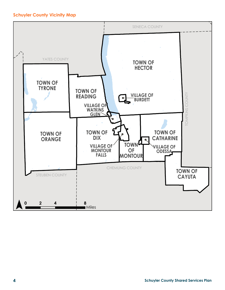## **Schuyler County Vicinity Map**

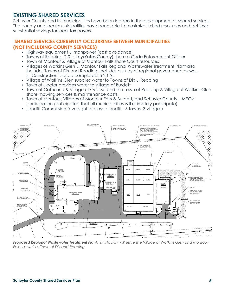# **EXISTING SHARED SERVICES**

Schuyler County and its municipalities have been leaders in the development of shared services. The county and local municipalities have been able to maximize limited resources and achieve substantial savings for local tax payers.

# **SHARED SERVICES CURRENTLY OCCURRING BETWEEN MUNICIPALITIES (NOT INCLUDING COUNTY SERVICES)**

- **▪** Highway equipment & manpower (cost avoidance)
- **▪** Towns of Reading & Starkey(Yates County) share a Code Enforcement Officer
- **▪** Town of Montour & Village of Montour Falls share Court resources
- **▪** Villages of Watkins Glen & Montour Falls Regional Wastewater Treatment Plant also includes Towns of Dix and Reading. Includes a study of regional governance as well. **-** Construction is to be completed in 2019.
- **▪** Village of Watkins Glen supplies water to Towns of Dix & Reading
- **▪** Town of Hector provides water to Village of Burdett
- **▪** Town of Catharine & Village of Odessa and the Town of Reading & Village of Watkins Glen share mowing services & maintenance costs.
- **▪** Town of Montour, Villages of Montour Falls & Burdett, and Schuyler County MEGA participation (anticipated that all municipalities will ultimately participate)
- **▪** Landfill Commission (oversight of closed landfill 6 towns, 3 villages)



*Proposed Regional Wastewater Treatment Plant. This facility will serve the Village of Watkins Glen and Montour*  Falls, as well as Town of Dix and Reading. Readin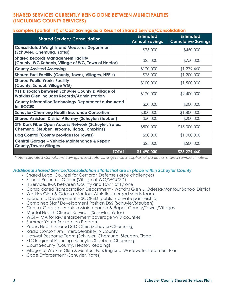# **SHARED SERVICES CURRENTLY BEING DONE BETWEEN MUNICIPALITIES (INCLUDING COUNTY SERVICES)**

### **Examples (partial list) of Cost Savings as a Result of Shared Service/Consolidation**

| <b>Shared Service/ Consolidation</b>                                                                     | <b>Estimated</b><br><b>Annual Savings</b> | <b>Estimated</b><br><b>Cumulative Savings</b> |
|----------------------------------------------------------------------------------------------------------|-------------------------------------------|-----------------------------------------------|
| <b>Consolidated Weights and Measures Department</b><br>(Schuyler. Chemung, Yates)                        | \$75,000                                  | \$450,000                                     |
| <b>Shared Records Management Facility</b><br>(County, WG Schools, Village of WG, Town of Hector)         | \$25,000                                  | \$750,000                                     |
| <b>County Assisted Assessing</b>                                                                         | \$120,000                                 | \$1,279,460                                   |
| <b>Shared Fuel Facility (County, Towns, Villages, NFP's)</b>                                             | \$75,000                                  | \$1,200,000                                   |
| <b>Shared Public Works Facility</b><br>(County, School, Village WG)                                      | \$100,000                                 | \$1,500,000                                   |
| 911 Dispatch between Schuyler County & Village of<br><b>Watkins Glen includes Records/Administration</b> | \$120,000                                 | \$2,400,000                                   |
| <b>County Information Technology Department outsourced</b><br>to BOCES                                   | \$50,000                                  | \$200,000                                     |
| <b>Schuyler/Chemung Health Insurance Consortium</b>                                                      | \$300,000                                 | \$1,800,000                                   |
| <b>Shared Assistant District Attorney (Schuyler/Steuben)</b>                                             | \$50,000                                  | \$200,000                                     |
| STN Dark Fiber Open Access Network (Schuyler, Yates,<br>Chemung, Steuben, Broome, Tioga, Tompkins)       | \$500,000                                 | \$15,000,000                                  |
| Dog Control (County provides for Towns)                                                                  | \$50,000                                  | \$1,000,000                                   |
| <b>Central Garage - Vehicle Maintenance &amp; Repair</b><br><b>County/Towns/Villages</b>                 | \$25,000                                  | \$500,000                                     |
| <b>TOTAL</b>                                                                                             | \$1,490,000                               | \$26,279,460                                  |

*Note: Estimated Cumulative Savings reflect total savings since inception of particular shared service initiative.*

#### *Additional Shared Service/Consolidation Efforts that are in place within Schuyler County*

- **▪** Shared Legal Counsel for Certiorari Defense (large challenges)
- **▪** School Resource Officer (Village of WG/WGCSD)
- **▪** IT Services IMA between County and Town of Tyrone
- **▪** Consolidated Transportation Department Watkins Glen & Odessa-Montour School District
- **▪** Watkins Glen & Odessa-Montour Athletics merged sports teams
- **▪** Economic Development SCOPED (public / private partnership)
- **▪** Combined Staff Development Position DSS (Schuyler/Steuben)
- **▪** Central Garage Vehicle Maintenance & Repair County/Towns/Villages
- **▪** Mental Health Clinical Services (Schuyler, Yates)
- **▪** WGI IMA for law enforcement coverage w/ 9 counties
- **▪** Summer Youth Recreation Program
- **▪** Public Health Shared STD Clinic (Schuyler/Chemung)
- **▪** Radio Consortium (Interoperability) 9 County
- **▪** HazMat Response Team (Schuyler, Chemung, Steuben, Tioga)
- **▪** STC Regional Planning (Schuyler, Steuben, Chemung)
- **▪** Court Security (County, Hector, Reading)
- **▪** Villages of Watkins Glen & Montour Falls Regional Wastewater Treatment Plan
- **▪** Code Enforcement (Schuyler, Yates)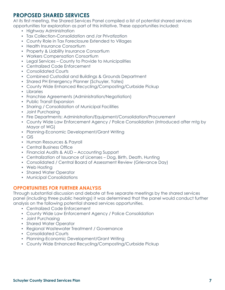# **PROPOSED SHARED SERVICES**

At its first meeting, the Shared Services Panel compiled a list of potential shared services opportunities for exploration as part of this initiative. These opportunities included:

- **▪** Highway Administration
- **▪** Tax Collection-Consolidation and /or Privatization
- **▪** County Role in Tax Foreclosure Extended to Villages
- **▪** Health Insurance Consortium
- **▪** Property & Liability Insurance Consortium
- **▪** Workers Compensation Consortium
- **▪** Legal Services County to Provide to Municipalities
- **▪** Centralized Code Enforcement
- **▪** Consolidated Courts
- **▪** Combined Custodial and Buildings & Grounds Department
- **▪** Shared PH Emergency Planner (Schuyler, Yates)
- **▪** County Wide Enhanced Recycling/Composting/Curbside Pickup
- **▪** Libraries
- **▪** Franchise Agreements (Administration/Negotiation)
- **▪** Public Transit Expansion
- **▪** Sharing / Consolidation of Municipal Facilities
- **▪** Joint Purchasing
- **▪** Fire Departments: Administration/Equipment/Consolidation/Procurement
- **▪** County Wide Law Enforcement Agency / Police Consolidation (Introduced after mtg by Mayor of WG)
- **▪** Planning-Economic Development/Grant Writing
- **▪** GIS
- **▪** Human Resources & Payroll
- **▪** Central Business Office
- **▪** Financial Audits & AUD Accounting Support
- **▪** Centralization of Issuance of Licenses Dog, Birth, Death, Hunting
- **▪** Consolidated / Central Board of Assessment Review (Grievance Day)
- **▪** Web Hosting
- **▪** Shared Water Operator
- **▪** Municipal Consolidations

# **OPPORTUNITIES FOR FURTHER ANALYSIS**

Through substantial discussion and debate at five separate meetings by the shared services panel (including three public hearings) it was determined that the panel would conduct further analysis on the following potential shared services opportunities.

- **▪** Centralized Code Enforcement
- **▪** County Wide Law Enforcement Agency / Police Consolidation
- **▪** Joint Purchasing
- **▪** Shared Water Operator
- **▪** Regional Wastewater Treatment / Governance
- **▪** Consolidated Courts
- **▪** Planning-Economic Development/Grant Writing
- **▪** County Wide Enhanced Recycling/Composting/Curbside Pickup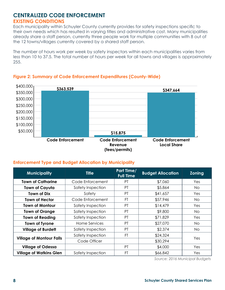## **CENTRALIZED CODE ENFORCEMENT EXISTING CONDITIONS**

Each municipality within Schuyler County currently provides for safety inspections specific to their own needs which has resulted in varying titles and administrative cost. Many municipalities already share a staff person, currently three people work for multiple communities with 8 out of the 12 towns/villages currently covered by a shared staff person.

The number of hours work per week by safety inspectors within each municipalities varies from less than 10 to 37.5. The total number of hours per week for all towns and villages is approximately 255.



## **Figure 2: Summary of Code Enforcement Expenditures (County-Wide)**

# **Enforcement Type and Budget Allocation by Municipality** \$35,000

| <b>Municipality</b>             | <b>Title</b>      | <b>Part Time/</b><br><b>Full Time</b> | <b>Budget Allocation</b> | <b>Zoning</b> |
|---------------------------------|-------------------|---------------------------------------|--------------------------|---------------|
| <b>Town of Catharine</b>        | Code Enforcement  | PT                                    | \$7,060                  | Yes           |
| <b>Town of Cayuta</b>           | Safety Inspection | PT                                    | \$5,864                  | No            |
| <b>Town of Dix</b>              | Safety            | PT                                    | \$41,657                 | Yes           |
| <b>Town of Hector</b>           | Code Enforcement  | FT                                    | \$57,946                 | No            |
| <b>Town of Montour</b>          | Safety Inspection | PT                                    | \$14,479                 | Yes           |
| <b>Town of Orange</b>           | Safety Inspection | PT                                    | \$9,800                  | No            |
| <b>Town of Reading</b>          | Safety Inspection | PT                                    | \$71,829                 | Yes           |
| <b>Town of Tyrone</b>           | Home Services     | PT                                    | \$27,070                 | No            |
| <b>Village of Burdett</b>       | Safety Inspection | PT                                    | \$2,374                  | No.           |
| <b>Village of Montour Falls</b> | Safety Inspection | FT                                    | \$24,324                 |               |
|                                 | Code Officer      |                                       | \$30,294                 | Yes           |
| <b>Village of Odessa</b>        |                   | PT                                    | \$4,000                  | Yes           |
| <b>Village of Watkins Glen</b>  | Safety Inspection | FT                                    | \$66,842                 | Yes           |

*Source: 2016 Municipal Budgets*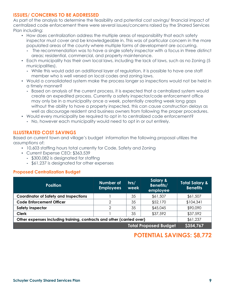## **ISSUES/ CONCERNS TO BE ADDRESSED**

As part of the analysis to determine the feasibility and potential cost savings/ financial impact of centralized code enforcement there were several issues/concerns raised by the Shared Services Plan including:

- **▪** How does centralization address the multiple areas of responsibility that each safety inspector must cover and be knowledgeable in. This was of particular concern in the more populated areas of the county where multiple forms of development are occurring.
	- **-** The recommendation was to have a single safety inspector with a focus in three distinct areas; residential, commercial, and property maintenance.
- **▪** Each municipality has their own local laws, including the lack of laws, such as no Zoning (5 municipalities).
	- **-** While this would add an additional layer of regulation, it is possible to have one staff member who is well versed on local codes and zoning laws.
- **▪** Would a consolidated system make the process longer so inspections would not be held in a timely manner?
	- **-** Based on analysis of the current process, it is expected that a centralized system would create an expedited process. Currently a safety inspector/code enforcement office may only be in a municipality once a week, potentially creating week long gaps without the ability to have a property inspected, this can cause construction delays as well as discourage resident and business owners from following the proper procedures.
- **▪** Would every municipality be required to opt in to centralized code enforcement?
	- **-** No, however each municipality would need to opt in or out entirely.

# **ILLUSTRATED COST SAVINGS**

Based on current town and village's budget information the following proposal utilizes the assumptions of:

- **▪** 10,603 staffing hours total currently for Code, Safety and Zoning
- **▪** Current Expense CEO: \$363,539
	- **-** \$300,082 is designated for staffing
	- **-** \$61,237 is designated for other expenses

## **Proposed Centralization Budget**

| <b>Position</b>                                                       | Number of<br><b>Employees</b> | hrs/<br>week | Salary &<br>Benefits/<br>employee | <b>Total Salary &amp;</b><br><b>Benefits</b> |
|-----------------------------------------------------------------------|-------------------------------|--------------|-----------------------------------|----------------------------------------------|
| <b>Coordinator of Safety and Inspections</b>                          |                               | 35           | \$61,507                          | \$61,507                                     |
| <b>Code Enforcement Officer</b>                                       | 2                             | 35           | \$52,170                          | \$104,341                                    |
| <b>Safety Inspector</b>                                               | 2                             | 35           | \$45,045                          | \$90,090                                     |
| <b>Clerk</b>                                                          |                               | 35           | \$37,592                          | \$37,592                                     |
| Other expenses including training, contracts and other (carried over) |                               |              |                                   | \$61,237                                     |
| <b>Total Proposed Budget</b>                                          |                               |              | S354,767                          |                                              |

# **POTENTIAL SAVINGS: \$8,772**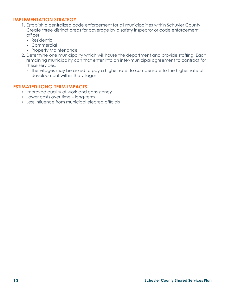## **IMPLEMENTATION STRATEGY**

- 1. Establish a centralized code enforcement for all municipalities within Schuyler County. Create three distinct areas for coverage by a safety inspector or code enforcement officer.
	- **-** Residential
	- **-** Commercial
	- **-** Property Maintenance
- 2. Determine one municipality which will house the department and provide staffing. Each remaining municipality can that enter into an inter-municipal agreement to contract for these services.
	- **-** The villages may be asked to pay a higher rate, to compensate to the higher rate of development within the villages.

## **ESTIMATED LONG-TERM IMPACTS**

- **▪** Improved quality of work and consistency
- **▪** Lower costs over time long-term
- **▪** Less influence from municipal elected officials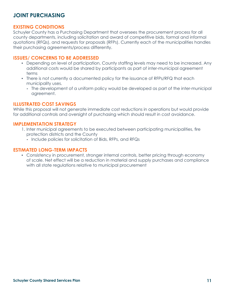# **JOINT PURCHASING**

## **EXISTING CONDITIONS**

Schuyler County has a Purchasing Department that oversees the procurement process for all county departments, including solicitation and award of competitive bids, formal and informal quotations (RFQs), and requests for proposals (RFPs). Currently each of the municipalities handles their purchasing agreements/process differently.

## **ISSUES/ CONCERNS TO BE ADDRESSED**

- **▪** Depending on level of participation, County staffing levels may need to be increased. Any additional costs would be shared by participants as part of inter-municipal agreement terms
- **•** There is not currently a documented policy for the issuance of RFPs/RFQ that each municipality uses.
	- **-** The development of a uniform policy would be developed as part of the inter-municipal agreement.

#### **ILLUSTRATED COST SAVINGS**

While this proposal will not generate immediate cost reductions in operations but would provide for additional controls and oversight of purchasing which should result in cost avoidance.

#### **IMPLEMENTATION STRATEGY**

- 1. Inter municipal agreements to be executed between participating municipalities, fire protection districts and the County
	- **-** Include policies for solicitation of Bids, RFPs, and RFQs

#### **ESTIMATED LONG-TERM IMPACTS**

**•** Consistency in procurement, stronger internal controls, better pricing through economy of scale. Net effect will be a reduction in material and supply purchases and compliance with all state regulations relative to municipal procurement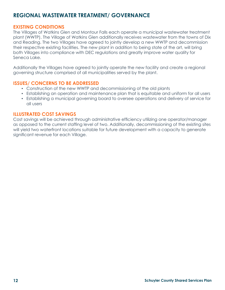# **REGIONAL WASTEWATER TREATMENT/ GOVERNANCE**

## **EXISTING CONDITIONS**

The Villages of Watkins Glen and Montour Falls each operate a municipal wastewater treatment plant (WWTP). The Village of Watkins Glen additionally receives wastewater from the towns of Dix and Reading. The two Villages have agreed to jointly develop a new WWTP and decommission their respective existing facilities. The new plant in addition to being state of the art, will bring both Villages into compliance with DEC regulations and greatly improve water quality for Seneca Lake.

Additionally the Villages have agreed to jointly operate the new facility and create a regional governing structure comprised of all municipalities served by the plant.

## **ISSUES/ CONCERNS TO BE ADDRESSED**

- **▪** Construction of the new WWTP and decommissioning of the old plants
- **▪** Establishing an operation and maintenance plan that is equitable and uniform for all users
- **▪** Establishing a municipal governing board to oversee operations and delivery of service for all users

## **ILLUSTRATED COST SAVINGS**

Cost savings will be achieved through administrative efficiency utilizing one operator/manager as opposed to the current staffing level of two. Additionally, decommissioning of the existing sites will yield two waterfront locations suitable for future development with a capacity to generate significant revenue for each Village.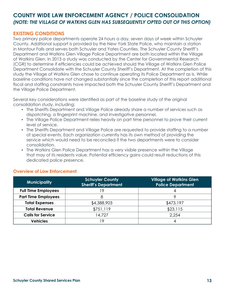# **COUNTY WIDE LAW ENFORCEMENT AGENCY / POLICE CONSOLIDATION** *(NOTE: THE VILLAGE OF WATKINS GLEN HAS SUBSEQUENTLY OPTED OUT OF THIS OPTION)*

## **EXISTING CONDITIONS**

Two primary police departments operate 24 hours a day, seven days of week within Schuyler County. Additional support is provided by the New York State Police, who maintain a station in Montour Falls and serves both Schuyler and Yates Counties. The Schuyler County Sheriff's Department and Watkins Glen Village Police Department are both located within the Village of Watkins Glen. In 2013 a study was conducted by the Center for Governmental Research (CGR) to determine if efficiencies could be achieved should the Village of Watkins Glen Police Department Consolidate with the Schuyler County Sheriff's Department. At the completion of this study the Village of Watkins Glen chose to continue operating its Police Department as is. While baseline conditions have not changed substantially since the completion of this report additional fiscal and staffing constraints have impacted both the Schuyler County Sheriff's Department and the Village Police Department.

Several key considerations were identified as part of the baseline study of the original consolidation study, including;

- **▪** The Sheriffs Department and Village Police already share a number of services such as dispatching, a fingerprint machine, and investigative personnel.
- **▪** The Village Police Department relies heavily on part time personnel to prove their current level of service.
- **•** The Sheriffs Department and Village Police are requested to provide staffing to a number of special events. Each organization currently has its own method of providing the service which would need to be reconciled if the two departments were to consider consolidation.
- **•** The Watkins Glen Police Department has a very visible presence within the Village that may of its residents value. Potential efficiency gains could result reductions of this dedicated police presence.

| <b>Municipality</b>        | <b>Schuyler County</b><br><b>Sheriff's Department</b> | <b>Village of Watkins Glen</b><br><b>Police Department</b> |
|----------------------------|-------------------------------------------------------|------------------------------------------------------------|
| <b>Full Time Employees</b> | - 9                                                   |                                                            |
| <b>Part Time Employees</b> |                                                       |                                                            |
| <b>Total Expenses</b>      | \$4,388,903                                           | \$473,197                                                  |
| <b>Total Revenue</b>       | \$751,119                                             | \$23,115                                                   |
| <b>Calls for Service</b>   | 14,727                                                | 2.254                                                      |
| <b>Vehicles</b>            | 19                                                    |                                                            |

#### **Overview of Law Enforcement**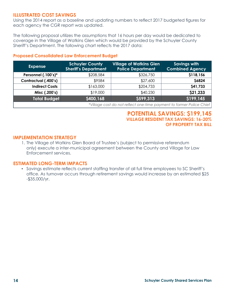## **ILLUSTRATED COST SAVINGS**

Using the 2014 report as a baseline and updating numbers to reflect 2017 budgeted figures for each agency the CGR report was updated.

The following proposal utilizes the assumptions that 16 hours per day would be dedicated to coverage in the Village of Watkins Glen which would be provided by the Schuyler County Sheriff's Department. The following chart reflects the 2017 data:

| <b>Expense</b>              | <b>Schuyler County</b><br><b>Sheriff's Department</b> | <b>Village of Watkins Glen</b><br><b>Police Department</b> | <b>Savings with</b><br><b>Combined Agency</b> |  |
|-----------------------------|-------------------------------------------------------|------------------------------------------------------------|-----------------------------------------------|--|
| Personnel (.100's)*         | \$208,584                                             | \$326,750                                                  | \$118,156                                     |  |
| <b>Contractual (.400's)</b> | \$9584                                                | \$27,600                                                   | \$6824                                        |  |
| <b>Indirect Costs</b>       | \$163,000                                             | \$204,733                                                  | \$41,733                                      |  |
| Misc (.200's)               | \$19,000                                              | \$40,230                                                   | \$21,233                                      |  |
| <b>Total Budget</b>         | \$400,168                                             | \$599,313                                                  | $\sqrt{5199}$ , 145                           |  |
| $\ddotsc$                   |                                                       |                                                            |                                               |  |

## **Proposed Consolidated Law Enforcement Budget**

*\*Village cost do not reflect one-time payment to former Police Chief*

## **POTENTIAL SAVINGS: \$199,145 VILLAGE RESIDENT TAX SAVINGS: 16-20% OF PROPERTY TAX BILL**

## **IMPLEMENTATION STRATEGY**

1. The Village of Watkins Glen Board of Trustee's (subject to permissive referendum only) execute a inter-municipal agreement between the County and Village for Law Enforcement services.

## **ESTIMATED LONG-TERM IMPACTS**

**▪** Savings estimate reflects current staffing transfer of all full time employees to SC Sheriff's office. As turnover occurs through retirement savings would increase by an estimated \$25 -\$35,000/yr.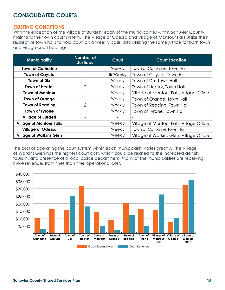# **CONSOLIDATED COURTS**

## **EXISTING CONDITIONS**

With the exception of the Village of Burdett, each of the municipalities within Schuyler County maintains their own court system. The Village of Odessa and Village of Montour Falls utilize their respective town halls to hold court on a weekly basis, also utilizing the same justice for both town and village court hearings.

| <b>Municipality</b>             | <b>Number of</b><br><b>Justices</b> | Court            | <b>Court Location</b>                    |
|---------------------------------|-------------------------------------|------------------|------------------------------------------|
| <b>Town of Catharine</b>        |                                     | Weekly           | Town of Catharine, Town Hall             |
| <b>Town of Cayuta</b>           |                                     | <b>Bi-Weekly</b> | Town of Cayuta, Town Hall                |
| <b>Town of Dix</b>              |                                     | Weekly           | Town of Dix, Town Hall                   |
| <b>Town of Hector</b>           | $\overline{2}$                      | Weekly           | Town of Hector, Town Hall                |
| <b>Town of Montour</b>          |                                     | Weekly           | Village of Montour Falls, Village Office |
| <b>Town of Orange</b>           |                                     | <b>Weekly</b>    | Town of Orange, Town Hall                |
| <b>Town of Reading</b>          | 2                                   | Weekly           | Town of Reading, Town Hall               |
| <b>Town of Tyrone</b>           |                                     | Weekly           | Town of Tyrone, Town Hall                |
| <b>Village of Burdett</b>       |                                     |                  |                                          |
| <b>Village of Montour Falls</b> |                                     | Weekly           | Village of Montour Falls, Village Office |
| <b>Village of Odessa</b>        |                                     | Weekly           | Town of Catharine Town Hall              |
| <b>Village of Watkins Glen</b>  |                                     | Weekly           | Village of Watkins Glen, Village Office  |

The cost of operating the court system within each municipality varies greatly. The Village code Enforcement Code Enforcement Many of the municipalities are re mont.n **(fees/permits)** more revenues from fines than their operational cost. tourism, and presence of a local police department. Many of the municipalities are receiving<br>mare rayspues from fines than their eperational eest of Watkins Glen has the highest court cost, which could be related to the increased density,

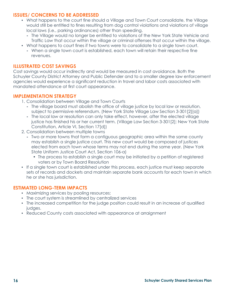## **ISSUES/ CONCERNS TO BE ADDRESSED**

- **▪** What happens to the court fine should a Village and Town Court consolidate, the Village would still be entitled to fines resulting from dog control violations and violations of village local laws (i.e., parking ordinances) other than speeding.
	- **-** The Village would no longer be entitled to violations of the New York State Vehicle and Traffic Law that occur within the village or criminal offenses that occur within the village.
- **▪** What happens to court fines if two towns were to consolidate to a single town court.
	- **-** When a single town court is established, each town will retain their respective fine revenues.

## **ILLUSTRATED COST SAVINGS**

Cost savings would occur indirectly and would be measured in cost avoidance. Both the Schuyler County District Attorney and Public Defender and to a smaller degree law enforcement agencies would experience a significant reduction in travel and labor costs associated with mandated attendance at first court appearance.

## **IMPLEMENTATION STRATEGY**

- 1. Consolidation between Village and Town Courts
	- **-** The village board must abolish the office of village justice by local law or resolution, subject to permissive referendum. (New York State Village Law Section 3-301[2][a])
	- **-** The local law or resolution can only take effect, however, after the elected village justice has finished his or her current term. (Village Law Section 3-301[2]; New York State Constitution, Article VI, Section 17[d])
- 2. Consolidation between multiple towns
	- **-** Two or more towns that form a contiguous geographic area within the same county may establish a single justice court. This new court would be composed of justices elected from each town whose terms may not end during the same year. (New York State Uniform Justice Court Act, Section 106-a)
		- The process to establish a single court may be initiated by a petition of registered voters or by Town Board Resolution
- **▪** If a single town court is established under this process, each justice must keep separate sets of records and dockets and maintain separate bank accounts for each town in which he or she has jurisdiction.

## **ESTIMATED LONG-TERM IMPACTS**

- **▪** Maximizing services by pooling resources;
- **▪** The court system is streamlined by centralized services
- **▪** The increased competition for the judge position could result in an increase of qualified judges.
- **▪** Reduced County costs associated with appearance at arraignment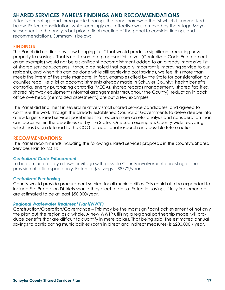# **SHARED SERVICES PANEL'S FINDINGS AND RECOMMENDATIONS**

After five meetings and three public hearings the panel narrowed the list which is summarized below. Police consolidation, while seemingly cost effective was removed by the Village Mayor subsequent to the analysis but prior to final meeting of the panel to consider findings and recommendations. Summary is below:

## **FINDINGS**

The Panel did not find any "low hanging fruit" that would produce significant, recurring new property tax savings. That is not to say that proposed initiatives (Centralized Code Enforcement as an example) would not be a significant accomplishment added to an already impressive list of shared service successes. It should be noted that equally important is improving service to our residents, and when this can be done while still achieving cost savings, we feel this more than meets the intent of the state mandate. In fact, examples cited by the State for consideration by counties read like a list of accomplishments already made in Schuyler County: health benefits consortia, energy purchasing consortia (MEGA), shared records management, shared facilities, shared highway equipment (informal arrangements throughout the County), reduction in back office overhead (centralized assessment.) are but a few examples.

The Panel did find merit in several relatively small shared service candidates, and agreed to continue the work through the already established Council of Governments to delve deeper into a few larger shared services possibilities that require more careful analysis and consideration than can occur within the deadlines set by the State. One such example is County-wide recycling which has been deferred to the COG for additional research and possible future action.

#### **RECOMMENDATIONS:**

The Panel recommends including the following shared services proposals in the County's Shared Services Plan for 2018:

#### *Centralized Code Enforcement*

To be administered by a town or village with possible County involvement consisting of the provision of office space only. Potential \$ savings = \$8772/year

#### *Centralized Purchasing*

County would provide procurement service for all municipalities. This could also be expanded to include Fire Protection Districts should they elect to do so. Potential savings if fully implemented are estimated to be at least \$50,000/year.

#### *Regional Wastewater Treatment Plant(WWTP)*

Construction/Operation/Governance – This may be the most significant achievement of not only the plan but the region as a whole. A new WWTP utilizing a regional partnership model will produce benefits that are difficult to quantify in mere dollars. That being said, the estimated annual savings to participating municipalities (both in direct and indirect measures) is \$200,000 / year.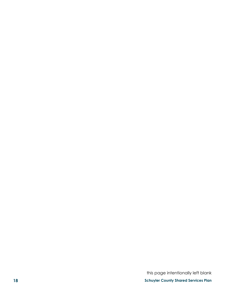**18 Schuyler County Shared Services Plan** this page intentionally left blank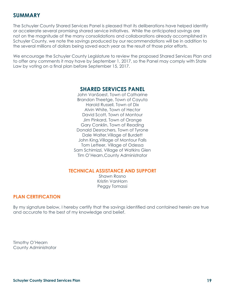# **SUMMARY**

The Schuyler County Shared Services Panel is pleased that its deliberations have helped identify or accelerate several promising shared service initiatives. While the anticipated savings are not on the magnitude of the many consolidations and collaborations already accomplished in Schuyler County, we note the savings produced by our recommendations will be in addition to the several millions of dollars being saved each year as the result of those prior efforts.

We encourage the Schuyler County Legislature to review the proposed Shared Services Plan and to offer any comments it may have by September 1, 2017, so the Panel may comply with State Law by voting on a final plan before September 15, 2017.

# **SHARED SERVICES PANEL**

John VanSoest, Town of Catharine Brandon Theetge, Town of Cayuta Harold Russell, Town of Dix Alvin White, Town of Hector David Scott, Town of Montour Jim Pinkard, Town of Orange Gary Conklin, Town of Reading Donald Desrochers, Town of Tyrone Dale Walter,Village of Burdett John King,Village of Montour Falls Tom Letteer, Village of Odessa Sam Schimizzi, Village of Watkins Glen Tim O'Hearn,County Administrator

## **TECHNICAL ASSISTANCE AND SUPPORT**

Shawn Rosno Kristin VanHorn Peggy Tomassi

## **PLAN CERTIFICATION**

By my signature below, I hereby certify that the savings identified and contained herein are true and accurate to the best of my knowledge and belief.

Timothy O'Hearn County Administrator